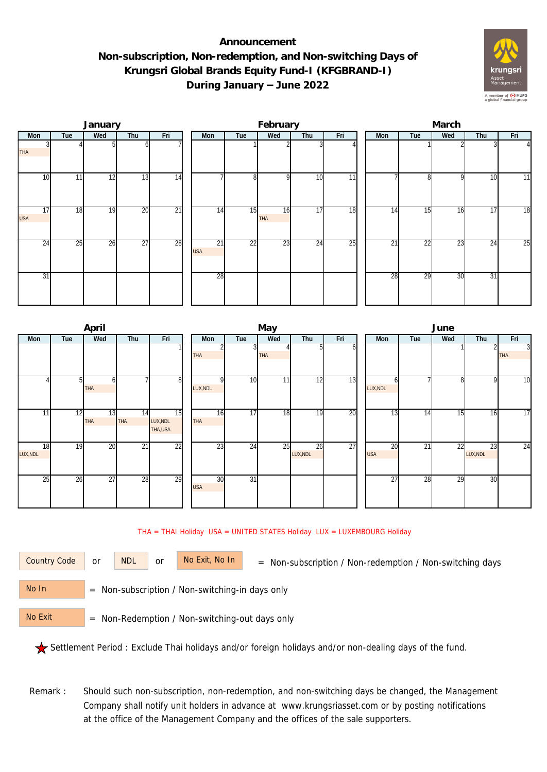## **Announcement Non-subscription, Non-redemption, and Non-switching Days of Krungsri Global Brands Equity Fund-I (KFGBRAND-I) During January – June 2022**



|                  |     | January |                 |                 |                  |     | February  |     |     | March |     |     |     |                |  |  |
|------------------|-----|---------|-----------------|-----------------|------------------|-----|-----------|-----|-----|-------|-----|-----|-----|----------------|--|--|
| Mon              | Tue | Wed     | Thu             | Fri             | Mon              | Tue | Wed       | Thu | Fri | Mon   | Tue | Wed | Thu | Fri            |  |  |
| <b>THA</b>       |     |         | ωI              |                 |                  |     |           |     |     |       |     |     |     | $\overline{4}$ |  |  |
| 10               | 11  | 12      | 13              | 14              |                  | 8   | οI        | 10  | 11  |       | 81  | 9   | 10  | 11             |  |  |
| 17<br><b>USA</b> | 18  | 19      | 20              | $\overline{21}$ | 14               | 15  | 16<br>THA | 17  | 18  | 14    | 15  | 16  | 17  | 18             |  |  |
| 24               | 25  | 26      | $\overline{27}$ | 28              | 21<br><b>USA</b> | 22  | 23        | 24  | 25  | 21    | 22  | 23  | 24  | 25             |  |  |
| 31               |     |         |                 |                 | 28               |     |           |     |     | 28    | 29  | 30  | 31  |                |  |  |

|          |     | April           |                 |                 |            |                 | May        |          |     | June            |     |     |                |                |  |  |
|----------|-----|-----------------|-----------------|-----------------|------------|-----------------|------------|----------|-----|-----------------|-----|-----|----------------|----------------|--|--|
| Mon      | Tue | Wed             | Thu             | Fri             | Mon        | Tue             | Wed        | Thu      | Fri | <b>Mon</b>      | Tue | Wed | Thu            | Fri            |  |  |
|          |     |                 |                 |                 |            |                 |            | n        | οı  |                 |     |     | $\overline{2}$ | $\overline{3}$ |  |  |
|          |     |                 |                 |                 | <b>THA</b> |                 | <b>THA</b> |          |     |                 |     |     |                | <b>THA</b>     |  |  |
|          |     |                 |                 |                 |            |                 |            |          |     |                 |     |     |                |                |  |  |
|          |     | ω               |                 | 8               | ΩI         | 10              | 11         | 12       | 13  |                 |     | 8   | 9              | 10             |  |  |
|          |     | <b>THA</b>      |                 |                 | LUX, NDL   |                 |            |          |     | LUX, NDL        |     |     |                |                |  |  |
|          |     |                 |                 |                 |            |                 |            |          |     |                 |     |     |                |                |  |  |
| 11       | 12  | 13              | 14              | 15              | 16         | 17              | 18         | 19       | 20  | $1\overline{3}$ | 14  | 15  | 16             | 17             |  |  |
|          |     | <b>THA</b>      | <b>THA</b>      | LUX, NDL        | THA        |                 |            |          |     |                 |     |     |                |                |  |  |
|          |     |                 |                 | THA,USA         |            |                 |            |          |     |                 |     |     |                |                |  |  |
| 18       | 19  | $\overline{20}$ | $\overline{21}$ | $\overline{22}$ | 23         | 24              | 25         | 26       | 27  | 20              | 21  | 22  | 23             | 24             |  |  |
| LUX, NDL |     |                 |                 |                 |            |                 |            | LUX, NDL |     | <b>USA</b>      |     |     | LUX, NDL       |                |  |  |
|          |     |                 |                 |                 |            |                 |            |          |     |                 |     |     |                |                |  |  |
| 25       | 26  | 27              | 28              | 29              | 30         | $\overline{31}$ |            |          |     | $\overline{27}$ | 28  | 29  | 30             |                |  |  |
|          |     |                 |                 |                 | <b>USA</b> |                 |            |          |     |                 |     |     |                |                |  |  |
|          |     |                 |                 |                 |            |                 |            |          |     |                 |     |     |                |                |  |  |
|          |     |                 |                 |                 |            |                 |            |          |     |                 |     |     |                |                |  |  |

## THA = THAI Holiday USA = UNITED STATES Holiday LUX = LUXEMBOURG Holiday

or NDL or

Country Code or NDL or No Exit, No In = Non-subscription / Non-redemption / Non-switching days

 = Non-subscription / Non-switching-in days only No In

 = Non-Redemption / Non-switching-out days only No Exit

Settlement Period : Exclude Thai holidays and/or foreign holidays and/or non-dealing days of the fund.

Remark : Should such non-subscription, non-redemption, and non-switching days be changed, the Management Company shall notify unit holders in advance at www.krungsriasset.com or by posting notifications at the office of the Management Company and the offices of the sale supporters.